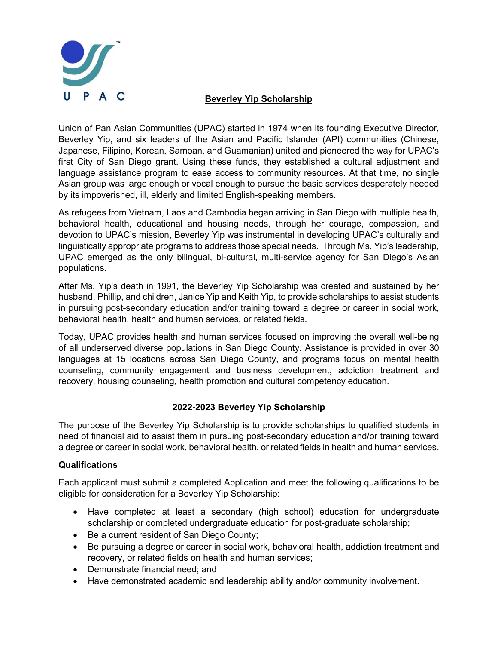

## **Beverley Yip Scholarship**

Union of Pan Asian Communities (UPAC) started in 1974 when its founding Executive Director, Beverley Yip, and six leaders of the Asian and Pacific Islander (API) communities (Chinese, Japanese, Filipino, Korean, Samoan, and Guamanian) united and pioneered the way for UPAC's first City of San Diego grant. Using these funds, they established a cultural adjustment and language assistance program to ease access to community resources. At that time, no single Asian group was large enough or vocal enough to pursue the basic services desperately needed by its impoverished, ill, elderly and limited English-speaking members.

As refugees from Vietnam, Laos and Cambodia began arriving in San Diego with multiple health, behavioral health, educational and housing needs, through her courage, compassion, and devotion to UPAC's mission, Beverley Yip was instrumental in developing UPAC's culturally and linguistically appropriate programs to address those special needs. Through Ms. Yip's leadership, UPAC emerged as the only bilingual, bi-cultural, multi-service agency for San Diego's Asian populations.

After Ms. Yip's death in 1991, the Beverley Yip Scholarship was created and sustained by her husband, Phillip, and children, Janice Yip and Keith Yip, to provide scholarships to assist students in pursuing post-secondary education and/or training toward a degree or career in social work, behavioral health, health and human services, or related fields.

Today, UPAC provides health and human services focused on improving the overall well-being of all underserved diverse populations in San Diego County. Assistance is provided in over 30 languages at 15 locations across San Diego County, and programs focus on mental health counseling, community engagement and business development, addiction treatment and recovery, housing counseling, health promotion and cultural competency education.

## **2022-2023 Beverley Yip Scholarship**

The purpose of the Beverley Yip Scholarship is to provide scholarships to qualified students in need of financial aid to assist them in pursuing post-secondary education and/or training toward a degree or career in social work, behavioral health, or related fields in health and human services.

### **Qualifications**

Each applicant must submit a completed Application and meet the following qualifications to be eligible for consideration for a Beverley Yip Scholarship:

- Have completed at least a secondary (high school) education for undergraduate scholarship or completed undergraduate education for post-graduate scholarship;
- Be a current resident of San Diego County;
- Be pursuing a degree or career in social work, behavioral health, addiction treatment and recovery, or related fields on health and human services;
- Demonstrate financial need; and
- Have demonstrated academic and leadership ability and/or community involvement.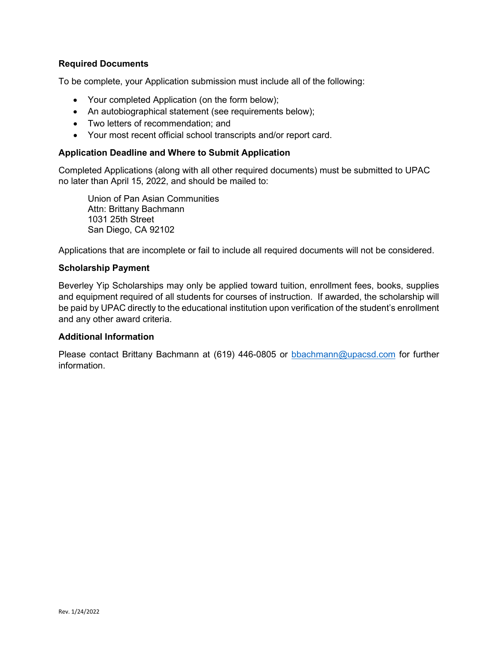#### **Required Documents**

To be complete, your Application submission must include all of the following:

- Your completed Application (on the form below);
- An autobiographical statement (see requirements below);
- Two letters of recommendation; and
- Your most recent official school transcripts and/or report card.

#### **Application Deadline and Where to Submit Application**

Completed Applications (along with all other required documents) must be submitted to UPAC no later than April 15, 2022, and should be mailed to:

Union of Pan Asian Communities Attn: Brittany Bachmann 1031 25th Street San Diego, CA 92102

Applications that are incomplete or fail to include all required documents will not be considered.

#### **Scholarship Payment**

Beverley Yip Scholarships may only be applied toward tuition, enrollment fees, books, supplies and equipment required of all students for courses of instruction. If awarded, the scholarship will be paid by UPAC directly to the educational institution upon verification of the student's enrollment and any other award criteria.

#### **Additional Information**

Please contact Brittany Bachmann at (619) 446-0805 or [bbachmann@upacsd.com](mailto:bbachmann@upacsd.com) for further information.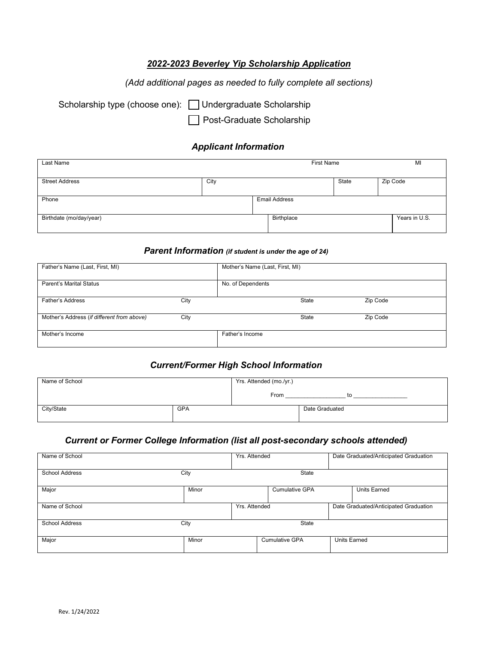## *2022-2023 Beverley Yip Scholarship Application*

# *(Add additional pages as needed to fully complete all sections)*

| Scholarship type (choose one): □ Undergraduate Scholarship |                           |
|------------------------------------------------------------|---------------------------|
|                                                            | Post-Graduate Scholarship |

## *Applicant Information*

| Last Name               |      |                      | First Name | MI            |
|-------------------------|------|----------------------|------------|---------------|
| <b>Street Address</b>   | City |                      | State      | Zip Code      |
| Phone                   |      | <b>Email Address</b> |            |               |
| Birthdate (mo/day/year) |      | Birthplace           |            | Years in U.S. |

#### *Parent Information (if student is under the age of 24)*

| Father's Name (Last, First, MI)            |      | Mother's Name (Last, First, MI) |              |          |
|--------------------------------------------|------|---------------------------------|--------------|----------|
| Parent's Marital Status                    |      | No. of Dependents               |              |          |
| Father's Address                           | City |                                 | <b>State</b> | Zip Code |
| Mother's Address (if different from above) | City |                                 | <b>State</b> | Zip Code |
| Mother's Income                            |      | Father's Income                 |              |          |

## *Current/Former High School Information*

| Name of School |            | Yrs. Attended (mo./yr.) |                |
|----------------|------------|-------------------------|----------------|
|                |            | From                    |                |
| City/State     | <b>GPA</b> |                         | Date Graduated |

## *Current or Former College Information (list all post-secondary schools attended)*

| Name of School        |       | Yrs. Attended         | Date Graduated/Anticipated Graduation |
|-----------------------|-------|-----------------------|---------------------------------------|
| <b>School Address</b> | City  | State                 |                                       |
| Major                 | Minor | <b>Cumulative GPA</b> | Units Earned                          |
| Name of School        |       | Yrs. Attended         | Date Graduated/Anticipated Graduation |
| <b>School Address</b> | City  | State                 |                                       |
| Major                 | Minor | <b>Cumulative GPA</b> | <b>Units Earned</b>                   |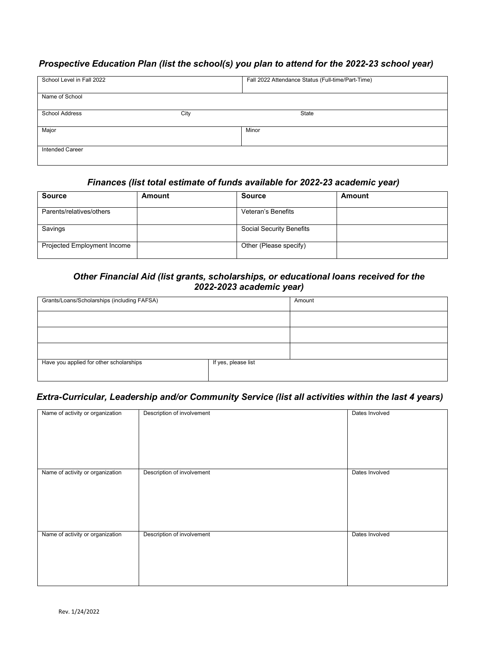# *Prospective Education Plan (list the school(s) you plan to attend for the 2022-23 school year)*

| School Level in Fall 2022 |      | Fall 2022 Attendance Status (Full-time/Part-Time) |
|---------------------------|------|---------------------------------------------------|
| Name of School            |      |                                                   |
| <b>School Address</b>     | City | State                                             |
| Major                     |      | Minor                                             |
| Intended Career           |      |                                                   |

## *Finances (list total estimate of funds available for 2022-23 academic year)*

| <b>Source</b>               | <b>Amount</b> | <b>Source</b>                   | Amount |
|-----------------------------|---------------|---------------------------------|--------|
| Parents/relatives/others    |               | Veteran's Benefits              |        |
| Savings                     |               | <b>Social Security Benefits</b> |        |
| Projected Employment Income |               | Other (Please specify)          |        |

### *Other Financial Aid (list grants, scholarships, or educational loans received for the 2022-2023 academic year)*

| Grants/Loans/Scholarships (including FAFSA) |                     | Amount |
|---------------------------------------------|---------------------|--------|
|                                             |                     |        |
|                                             |                     |        |
|                                             |                     |        |
| Have you applied for other scholarships     | If yes, please list |        |

## *Extra-Curricular, Leadership and/or Community Service (list all activities within the last 4 years)*

| Name of activity or organization | Description of involvement | Dates Involved |
|----------------------------------|----------------------------|----------------|
| Name of activity or organization | Description of involvement | Dates Involved |
| Name of activity or organization | Description of involvement | Dates Involved |